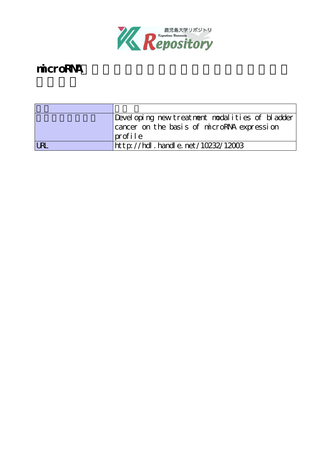

# microRNA

| Developing new treatment modalities of bladder |  |  |
|------------------------------------------------|--|--|
| cancer on the basis of microRNA expression     |  |  |
| $ {\rm prof}$ ile                              |  |  |
| http://hdl.handle.net/10232/12003              |  |  |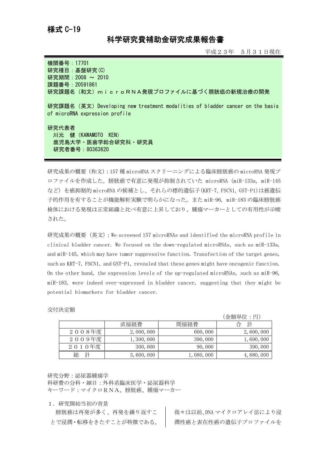## 科学研究費補助金研究成果報告書

平成23年 5月31日現在

機関番号:17701 研究種目:基盤研究(C) 研究期間: 2008 ~ 2010 課題番号:20591861 研究課題名(和文)microRNA発現プロファイルに基づく膀胱癌の新規治療の開発

研究課題名(英文)Developing new treatment modalities of bladder cancer on the basis of microRNA expression profile

研究代表者 川元 健(KAWAMOTO KEN) 鹿児島大学・医歯学総合研究科・研究員 研究者番号:80363620

研究成果の概要(和文):157 種 microRNA スクリーニングによる臨床膀胱癌の microRNA 発現プ ロファイルを作成した。膀胱癌で有意に発現が抑制されていた microRNA(miR-133a, miR-145 など)を癌抑制的 microRNA の候補とし、それらの標的遺伝子(KRT-7, FSCN1, GST-P1)は癌遺伝 子的作用を有することが機能解析実験で明らかになった。また miR-96, miR-183 の臨床膀胱癌 検体における発現は正常組織と比べ有意に上昇しており、腫瘍マーカーとしての有用性が示唆 された。

研究成果の概要(英文):We screened 157 microRNAs and identified the microRNA profile in clinical bladder cancer. We focused on the down-regulated microRNAs, such as miR-133a, and miR-145, which may have tumor suppressive function. Transfection of the target genes, such as KRT-7, FSCN1, and GST-P1, revealed that these genes might have oncogenic function. On the other hand, the expression levels of the up-regulated microRNAs, such as miR-96, miR-183, were indeed over-expressed in bladder cancer, suggesting that they might be potential biomarkers for bladder cancer.

#### 交付決定額

|        |             |           | (金額単位:円)  |
|--------|-------------|-----------|-----------|
|        | 直接経費        | 間接経費      | 計<br>台    |
| 2008年度 | 2,000,000   | 600,000   | 2,600,000 |
| 2009年度 | 1, 300, 000 | 390,000   | 1,690,000 |
| 2010年度 | 300,000     | 90,000    | 390,000   |
| 計      | 3,600,000   | 1,080,000 | 4,680,000 |

研究分野:泌尿器腫瘍学

科研費の分科・細目:外科系臨床医学・泌尿器科学 キーワード:マイクロRNA、膀胱癌、腫瘍マーカー

1.研究開始当初の背景

膀胱癌は再発が多く、再発を繰り返すこ とで浸潤・転移をきたすことが特徴である。 我々は以前、DNA マイクロアレイ法により浸 潤性癌と表在性癌の遺伝子プロファイルを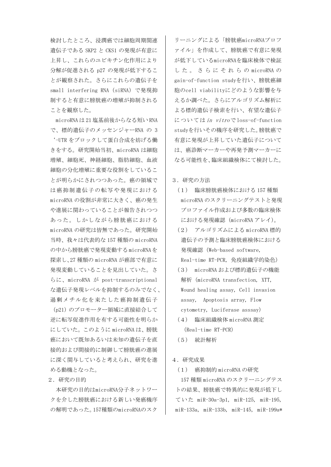検討したところ、浸潤癌では細胞周期関連 遺伝子である SKP2 と CKS1 の発現が有意に 上昇し、これらのユビキチン化作用により 分解が促進される p27 の発現が低下するこ とが観察された。さらにこれらの遺伝子を small interfering RNA(siRNA)で発現抑 制すると有意に膀胱癌の増殖が抑制される ことを観察した。

microRNA は 21 塩基前後からなる短い RNA で、標的遺伝子のメッセンジャーRNA の 3 '-UTR をブロックして蛋白合成を妨げる働 きをする。研究開始当初、microRNA は細胞 増殖、細胞死、神経細胞、脂肪細胞、血液 細胞の分化増殖に重要な役割をしているこ とが明らかにされつつあった。癌の領域で は癌抑制遺伝子の転写や発現における microRNA の役割が非常に大きく、癌の発生 や進展に関わっていることが報告されつつ あった。しかしながら膀胱癌における microRNA の研究は皆無であった。研究開始 当時、我々は代表的な 157 種類の microRNA の中から膀胱癌で発現変動する microRNAを 探索し、27 種類の microRNA が癌部で有意に 発現変動していることを見出していた。さ らに、microRNA が post-transcriptional な遺伝子発現レベルを抑制するのみでなく、 過剰メチル化を来たした癌抑制遺伝子

(p21)のプロモーター領域に直接結合して 逆に転写促進作用を有する可能性を明らか にしていた。このように microRNA は、膀胱 癌において既知あるいは未知の遺伝子を直 接的および間接的に制御して膀胱癌の進展 に深く関与していると考えられ、研究を進 める動機となった。

2.研究の目的

本研究の目的はmicroRNA分子ネットワー クを介した膀胱癌における新しい発癌機序 の解明であった。157種類のmicroRNAのスク

リーニングによる「膀胱癌microRNAプロフ ァイル」を作成して、膀胱癌で有意に発現 が低下しているmicroRNAを臨床検体で検証 し た 。 さ ら に そ れ ら の microRNA の gain-of-function studyを行い、膀胱癌細 胞のcell viabilityにどのような影響を与 えるか調べた。さらにアルゴリズム解析に よる標的遺伝子検索を行い、有望な遺伝子 についてはin vitroで loss-of-function studyを行いその機序を研究した。膀胱癌で 有意に発現が上昇していた遺伝子について は、癌診断マーカーや再発予測マーカーに なる可能性を、臨床組織検体にて検討した。

3.研究の方法

- (1) 臨床膀胱癌検体における 157 種類 microRNA のスクリーニングテストと発現 プロファイル作成および多数の臨床検体 における発現確認(microRNA アレイ)。
- (2) アルゴリズムによる microRNA 標的 遺伝子の予測と臨床膀胱癌検体における 発現確認(Web-based software, Real-time RT-PCR, 免疫組織学的染色)
- (3) microRNA および標的遺伝子の機能 解析(microRNA transfection, XTT, Wound healing assay, Cell invasion assay, Apoptosis array, Flow cytometry, Luciferase asssay)
- (4) 臨床組織検体 microRNA 測定 (Real-time RT-PCR)
- (5) 統計解析

### 4.研究成果

(1) 癌抑制的 microRNA の研究

157 種類 microRNA のスクリーニングテス トの結果、膀胱癌で特異的に発現が低下し ていた miR-30a-3p1, miR-125, miR-195, miR-133a, miR-133b, miR-145, miR-199a\*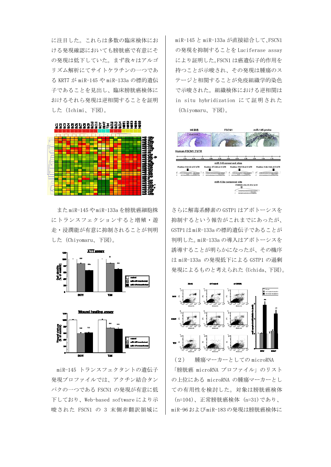に注目した。これらは多数の臨床検体にお ける発現確認においても膀胱癌で有意にそ の発現は低下していた。まず我々はアルゴ リズム解析にてサイトケラチンの一つであ る KRT7 が miR-145 や miR-133a の標的遺伝 子であることを見出し、臨床膀胱癌検体に おけるそれら発現は逆相関することを証明 した(Ichimi、下図)。



また miR-145 や miR-133a を膀胱癌細胞株 にトランスフェクションすると増殖・遊 走・浸潤能が有意に抑制されることが判明 した(Chiyomaru、下図)。



miR-145 トランスフェクタントの遺伝子 発現プロファイルでは、アクチン結合タン パクの一つである FSCN1 の発現が有意に低 下しており、Web-based software により示 唆された FSCN1 の 3 末側非翻訳領域に

miR-145 と miR-133a が直接結合して、FSCN1 の発現を抑制することを Luciferase assay により証明した。FSCN1 は癌遺伝子的作用を 持つことが示唆され、その発現は腫瘍のス テージと相関することが免疫組織学的染色 で示唆された。組織検体における逆相関は in situ hybridization にて証明された (Chiyomaru、下図)。



さらに解毒系酵素の GSTP1 はアポトーシスを 抑制するという報告がこれまでにあったが、 GSTP1は miR-133aの標的遺伝子であることが 判明した。miR-133a の導入はアポトーシスを 誘導することが明らかになったが、その機序 は miR-133a の発現低下による GSTP1 の過剰 発現によるものと考えられた(Uchida、下図)。



(2) 腫瘍マーカーとしての microRNA 「膀胱癌 microRNA プロファイル」のリスト の上位にある microRNA の腫瘍マーカーとし ての有用性を検討した。対象は膀胱癌検体 (n=104)、正常膀胱癌検体 (n=31)であり、 miR-96および miR-183の発現は膀胱癌検体に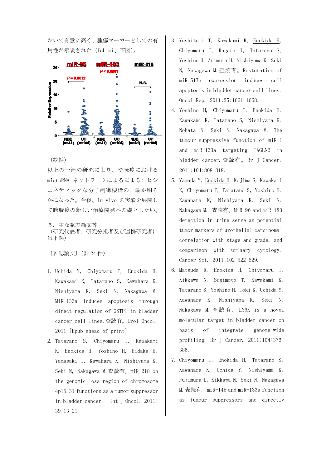おいて有意に高く、腫瘍マーカーとしての有 用性が示唆された(Ichimi、下図)。



#### (総括)

以上の一連の研究により、膀胱癌における microRNA ネットワークによるによるエピジ ェネティックな分子制御機構の一端が明ら かになった。今後、in vivo の実験を展開し て膀胱癌の新しい治療開発への礎としたい。

5.主な発表論文等 (研究代表者、研究分担者及び連携研究者に は下線)

〔雑誌論文〕(計 24 件)

- 1. Uchida Y, Chiyomaru T, Enokida H, Kawakami K, Tatarano S, Kawahara K, Nishiyama K, Seki N, Nakagawa M. MiR-133a induces apoptosis through direct regulation of GSTP1 in bladder cancer cell lines.査読有。Urol Oncol. 2011 [Epub ahead of print]
- 2. Tatarano S, Chiyomaru T, Kawakami K, Enokida H, Yoshino H, Hidaka H, Yamasaki T, Kawahara K, Nishiyama K, Seki N, Nakagawa M.査読有。miR-218 on the genomic loss region of chromosome 4p15.31 functions as a tumor suppressor in bladder cancer. Int J Oncol. 2011; 39:13-21.
- 3. Yoshitomi T, Kawakami K, Enokida H, Chiyomaru T, Kagara I, Tatarano S, Yoshino H, Arimura H, Nishiyama K, Seki N, Nakagawa M.査読有。Restoration of miR-517a expression induces cell apoptosis in bladder cancer cell lines. Oncol Rep. 2011;25:1661-1668.
- 4. Yoshino H, Chiyomaru T, Enokida H, Kawakami K, Tatarano S, Nishiyama K, Nohata N, Seki N, Nakagawa M. The tumour-suppressive function of miR-1 and miR-133a targeting TAGLN2 in bladder cancer.査読有。 Br J Cancer. 2011;104:808-818.
- 5. Yamada Y, Enokida H, Kojima S, Kawakami K, Chiyomaru T, Tatarano S, Yoshino H, Kawahara K, Nishiyama K, Seki N, Nakagawa M. 査読有。MiR-96 and miR-183 detection in urine serve as potential tumor markers of urothelial carcinoma: correlation with stage and grade, and comparison with urinary cytology. Cancer Sci. 2011;102:522-529.
- 6. Matsuda R, Enokida H, Chiyomaru T, Kikkawa N, Sugimoto T, Kawakami K, Tatarano S, Yoshino H, Toki K, Uchida Y, Kawahara K, Nishiyama K, Seki N, Nakagawa M. 查読有。 LY6K is a novel molecular target in bladder cancer on basis of integrate genome-wide profiling. Br J Cancer. 2011;104:376– 386.
- 7. Chiyomaru T, Enokida H, Tatarano S, Kawahara K, Uchida Y, Nishiyama K, Fujimura L, Kikkawa N, Seki N, Nakagawa M.査読有。miR-145 and miR-133a function as tumour suppressors and directly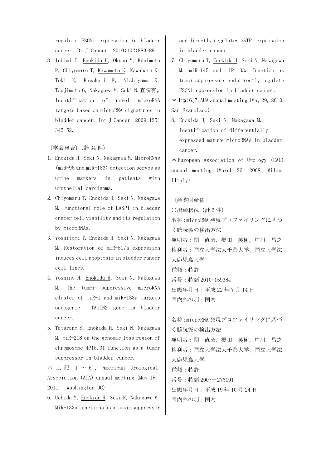regulate FSCN1 expression in bladder cancer. Br J Cancer. 2010;102:883-891.

8. Ichimi T, Enokida H, Okuno Y, Kunimoto R, Chiyomaru T, Kawamoto K, Kawahara K, Toki K, Kawakami K, Nishiyama K, Tsujimoto G, Nakagawa M, Seki N.査読有。 Identification of novel microRNA targets based on microRNA signatures in bladder cancer. Int J Cancer. 2009;125: 345-52.

〔学会発表〕(計 34 件)

- 1. Enokida H, Seki N, Nakagawa M. MicroRNAs (miR-96 and miR-183) detection serves as urine markers in patients with urothelial carcinoma.
- 2. Chiyomaru T, Enokida H, Seki N, Nakagawa M. Functional role of LASP1 in bladder cnacer cell viability and its regulation by microRNAs.
- 3. Yoshitomi T, Enokida H, Seki N, Nakagawa M. Restoration of miR-517a expression induces cell apoptosis in bladder cancer cell lines.
- 4. Yoshino H, Enokida H, Seki N, Nakagawa M. The tumor suppressive microRNA cluster of miR-1 and miR-133a targets oncogenic TAGLN2 gene in bladder cancer.
- 5. Tatarano S, Enokida H, Seki N, Nakagawa M. miR-218 on the genomic loss region of chromosome 4P15.31 function as a tumor suppressor in bladder cancer.

\* 上記 1  $\sim$  5 、 American Urological Association (AUA) annual meeting (May 15, 2011. Washington DC)

6. Uchida Y, Enokida H, Seki N, Nakagawa M. MiR-133a functions as a tumor suppressor and directly regulates GSTP1 expression in bladder cancer.

7. Chiyomaru T, Enokida H, Seki N, Nakagawa M. miR-145 and miR-133a function as tumor suppressors and directly regulate FSCN1 expression in bladder cancer.

 $*L$ 記 6、7、AUA annual meeting (May 29, 2010. San Francisco)

8. Enokida H, Seki N, Nakagawa M. Identification of differentially expressed mature microRNAs in bladder cancer.

\* European Association of Urology (EAU) annual meeting (March 26, 2008. Milan, Iltaly)

〔産業財産権〕 ○出願状況(計 2 件) 名称:microRNA 発現プロファイリングに基づ く膀胱癌の検出方法 発明者:関 直彦、榎田 英樹、中川 昌之 権利者:国立大学法人千葉大学、国立大学法 人鹿児島大学 種類:特許 番号:特願 2010-159384 出願年月日:平成 22 年 7 月 14 日 国内外の別:国内

```
名称:microRNA 発現プロファイリングに基づ
く膀胱癌の検出方法 
発明者:関 直彦、榎田 英樹、中川 昌之 
権利者:国立大学法人千葉大学、国立大学法
人鹿児島大学 
種類:特許 
番号:特願 2007-276191 
出願年月日:平成 19 年 10 月 24 日 
国内外の別:国内
```